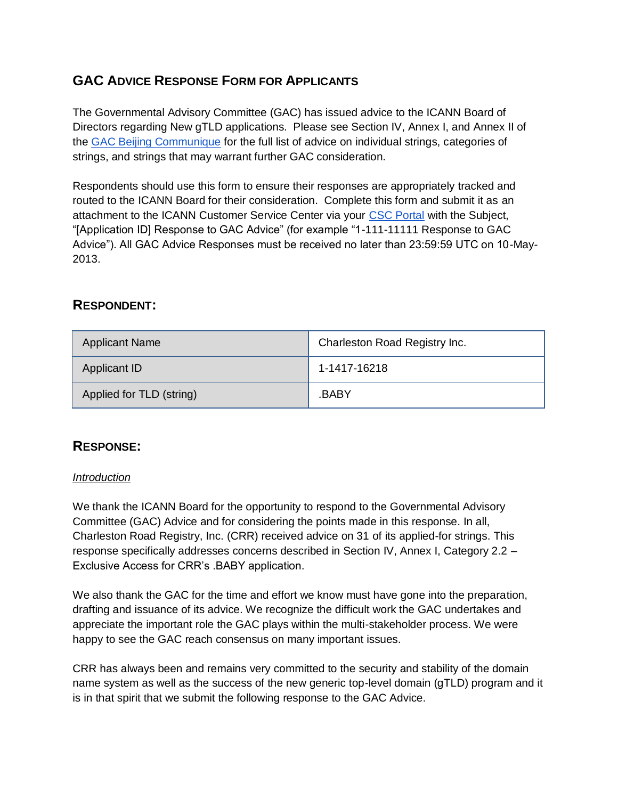# **GAC ADVICE RESPONSE FORM FOR APPLICANTS**

The Governmental Advisory Committee (GAC) has issued advice to the ICANN Board of Directors regarding New gTLD applications. Please see Section IV, Annex I, and Annex II of th[e](http://www.icann.org/en/news/correspondence/gac-to-board-18apr13-en.pdf) [GAC Beijing Communique](http://www.icann.org/en/news/correspondence/gac-to-board-18apr13-en.pdf) for the full list of advice on individual strings, categories of strings, and strings that may warrant further GAC consideration.

Respondents should use this form to ensure their responses are appropriately tracked and routed to the ICANN Board for their consideration. Complete this form and submit it as an attachment to the ICANN Customer Service Center via your [CSC Portal](https://myicann.secure.force.com/) with the Subject, "[Application ID] Response to GAC Advice" (for example "1-111-11111 Response to GAC Advice"). All GAC Advice Responses must be received no later than 23:59:59 UTC on 10-May-2013.

## **RESPONDENT:**

| <b>Applicant Name</b>    | Charleston Road Registry Inc. |
|--------------------------|-------------------------------|
| Applicant ID             | 1-1417-16218                  |
| Applied for TLD (string) | .BABY                         |

## **RESPONSE:**

#### *Introduction*

We thank the ICANN Board for the opportunity to respond to the Governmental Advisory Committee (GAC) Advice and for considering the points made in this response. In all, Charleston Road Registry, Inc. (CRR) received advice on 31 of its applied-for strings. This response specifically addresses concerns described in Section IV, Annex I, Category 2.2 – Exclusive Access for CRR's .BABY application.

We also thank the GAC for the time and effort we know must have gone into the preparation, drafting and issuance of its advice. We recognize the difficult work the GAC undertakes and appreciate the important role the GAC plays within the multi-stakeholder process. We were happy to see the GAC reach consensus on many important issues.

CRR has always been and remains very committed to the security and stability of the domain name system as well as the success of the new generic top-level domain (gTLD) program and it is in that spirit that we submit the following response to the GAC Advice.